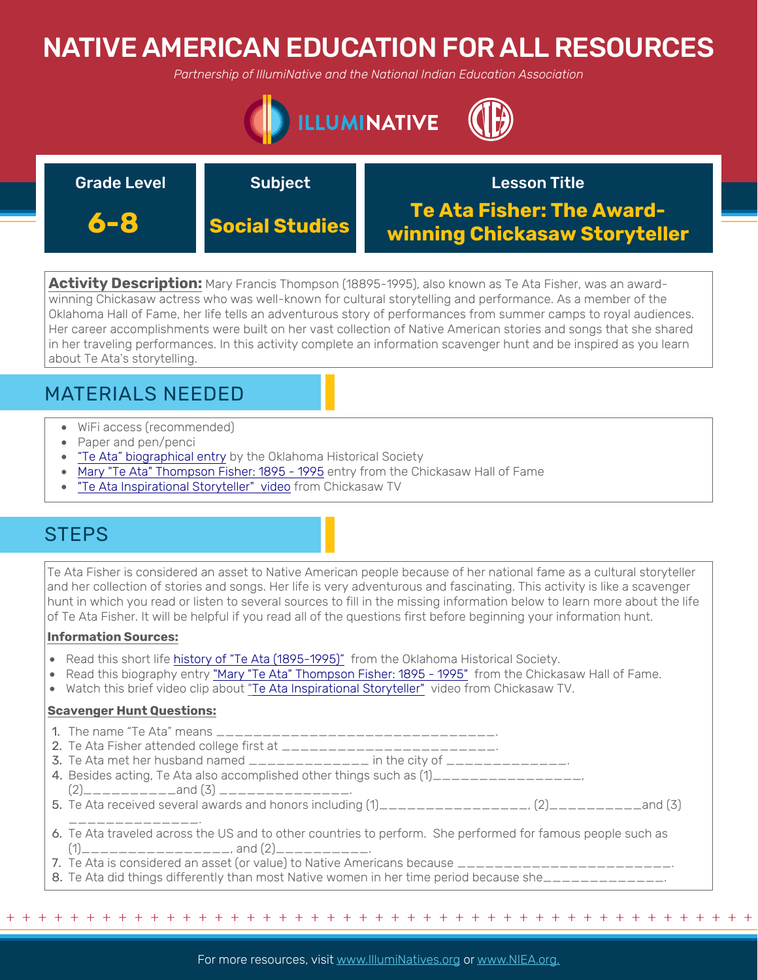# NATIVE AMERICAN EDUCATION FOR ALL RESOURCES

*Partnership of IllumiNative and the National Indian Education Association*



| <b>Grade Level</b> | <b>Subject</b>        | <b>Lesson Title</b>                                               |
|--------------------|-----------------------|-------------------------------------------------------------------|
| 6-8                | <b>Social Studies</b> | <b>Te Ata Fisher: The Award-</b><br>winning Chickasaw Storyteller |

**Activity Description:** Mary Francis Thompson (18895-1995), also known as Te Ata Fisher, was an awardwinning Chickasaw actress who was well-known for cultural storytelling and performance. As a member of the Oklahoma Hall of Fame, her life tells an adventurous story of performances from summer camps to royal audiences. Her career accomplishments were built on her vast collection of Native American stories and songs that she shared in her traveling performances. In this activity complete an information scavenger hunt and be inspired as you learn about Te Ata's storytelling.

## MATERIALS NEEDED

- WiFi access (recommended)
- Paper and pen/penci
- ["Te Ata" biographical entry](https://www.okhistory.org/publications/enc/entry.php?entry=TE001) by the Oklahoma Historical Society
- [Mary "Te Ata" Thompson Fisher: 1895 1995](https://hof.chickasaw.net/Members/1990/Te-Ata-Fisher.aspx) entry from the Chickasaw Hall of Fame
- ["Te Ata Inspirational Storyteller" video](https://www.chickasaw.tv/playlists/trending/videos/te-ata-inspirational-storyteller) from Chickasaw TV

## **STEPS**

Te Ata Fisher is considered an asset to Native American people because of her national fame as a cultural storyteller and her collection of stories and songs. Her life is very adventurous and fascinating. This activity is like a scavenger hunt in which you read or listen to several sources to fill in the missing information below to learn more about the life of Te Ata Fisher. It will be helpful if you read all of the questions first before beginning your information hunt.

### **Information Sources:**

- Read this short life history of "Te Ata (1895-1995)" from the Oklahoma Historical Society.
- Read this biography [entry](https://www.okhistory.org/publications/enc/entry.php?entry=TE001) ["Mary "Te Ata" Thompson Fisher: 1895 1995"](https://hof.chickasaw.net/Members/1990/Te-Ata-Fisher.aspx) from the Chickasaw Hall of Fame.
- Watch this brief video clip about "[Te Ata Inspirational Storyteller"](https://www.chickasaw.tv/playlists/trending/videos/te-ata-inspirational-storyteller) video from Chickasaw TV.

### **Scavenger Hunt Questions:**

- 1. The name "Te Ata" means \_\_\_\_\_\_\_\_\_\_\_\_\_\_\_\_\_\_\_\_\_\_\_\_\_\_\_\_\_\_.
- 2. Te Ata Fisher attended college first at \_\_\_\_\_\_\_\_\_\_\_\_\_\_\_\_\_\_\_\_\_\_\_.
- 3. Te Ata met her husband named  $\frac{1}{2}$   $\frac{1}{2}$  =  $\frac{1}{2}$  in the city of  $\frac{1}{2}$  =  $\frac{1}{2}$  =  $\frac{1}{2}$  =  $\frac{1}{2}$
- 4. Besides acting, Te Ata also accomplished other things such as  $(1)$ \_\_\_\_\_\_\_\_\_\_\_\_\_\_\_\_\_,
- (2)\_\_\_\_\_\_\_\_\_\_and (3) \_\_\_\_\_\_\_\_\_\_\_\_\_\_. 5. Te Ata received several awards and honors including  $(1)$ \_\_\_\_\_\_\_\_\_\_\_\_\_\_\_\_\_,  $(2)$ \_\_\_\_\_\_\_\_\_\_\_and  $(3)$ \_\_\_\_\_\_\_\_\_\_\_\_\_\_.
- 6. Te Ata traveled across the US and to other countries to perform. She performed for famous people such as  $(1)$ \_\_\_\_\_\_\_\_\_\_\_\_\_\_\_\_\_\_\_, and  $(2)$ \_\_\_\_\_\_\_\_\_\_.
- 7. Te Ata is considered an asset (or value) to Native Americans because \_\_
- 8. Te Ata did things differently than most Native women in her time period because she\_\_\_\_\_\_\_\_\_\_\_\_\_.

+ + + + + + + + + + + + + + + + + + + + + + + + + + + + + + + + + + + + + + + + + + + + + + + +